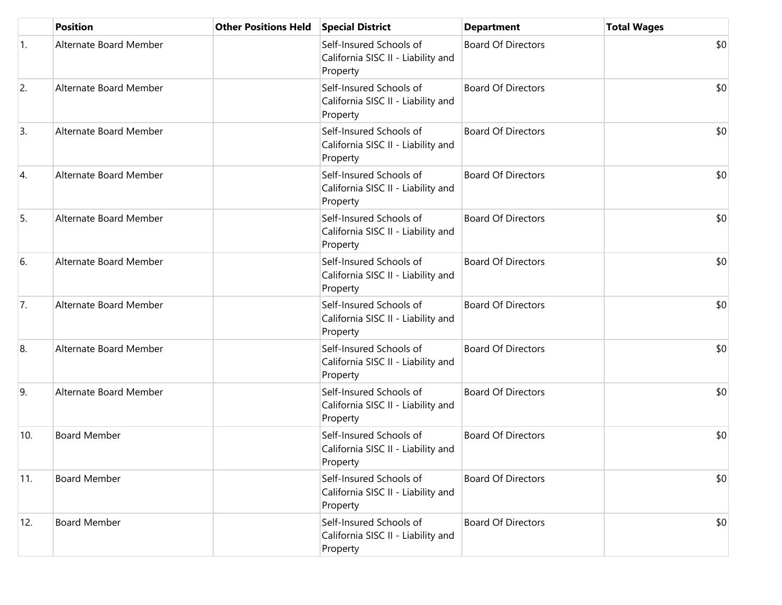|                  | <b>Position</b>        | <b>Other Positions Held</b> | <b>Special District</b>                                                   | <b>Department</b>         | <b>Total Wages</b> |
|------------------|------------------------|-----------------------------|---------------------------------------------------------------------------|---------------------------|--------------------|
| 1.               | Alternate Board Member |                             | Self-Insured Schools of<br>California SISC II - Liability and<br>Property | <b>Board Of Directors</b> | \$0                |
| $\overline{2}$ . | Alternate Board Member |                             | Self-Insured Schools of<br>California SISC II - Liability and<br>Property | <b>Board Of Directors</b> | \$0                |
| 3.               | Alternate Board Member |                             | Self-Insured Schools of<br>California SISC II - Liability and<br>Property | <b>Board Of Directors</b> | \$0                |
| 4.               | Alternate Board Member |                             | Self-Insured Schools of<br>California SISC II - Liability and<br>Property | <b>Board Of Directors</b> | \$0                |
| 5.               | Alternate Board Member |                             | Self-Insured Schools of<br>California SISC II - Liability and<br>Property | <b>Board Of Directors</b> | \$0                |
| 6.               | Alternate Board Member |                             | Self-Insured Schools of<br>California SISC II - Liability and<br>Property | <b>Board Of Directors</b> | \$0                |
| 7.               | Alternate Board Member |                             | Self-Insured Schools of<br>California SISC II - Liability and<br>Property | <b>Board Of Directors</b> | \$0                |
| 8.               | Alternate Board Member |                             | Self-Insured Schools of<br>California SISC II - Liability and<br>Property | <b>Board Of Directors</b> | \$0                |
| 9.               | Alternate Board Member |                             | Self-Insured Schools of<br>California SISC II - Liability and<br>Property | <b>Board Of Directors</b> | \$0                |
| 10.              | <b>Board Member</b>    |                             | Self-Insured Schools of<br>California SISC II - Liability and<br>Property | <b>Board Of Directors</b> | \$0                |
| 11.              | <b>Board Member</b>    |                             | Self-Insured Schools of<br>California SISC II - Liability and<br>Property | <b>Board Of Directors</b> | \$0                |
| 12.              | <b>Board Member</b>    |                             | Self-Insured Schools of<br>California SISC II - Liability and<br>Property | <b>Board Of Directors</b> | \$0                |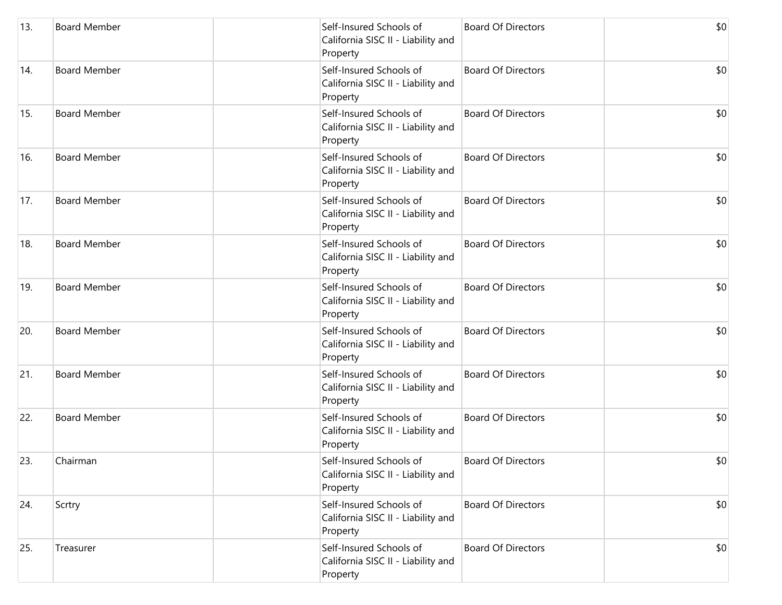| 13. | <b>Board Member</b> | Self-Insured Schools of<br>California SISC II - Liability and<br>Property | <b>Board Of Directors</b> | \$0 |
|-----|---------------------|---------------------------------------------------------------------------|---------------------------|-----|
| 14. | <b>Board Member</b> | Self-Insured Schools of<br>California SISC II - Liability and<br>Property | <b>Board Of Directors</b> | \$0 |
| 15. | <b>Board Member</b> | Self-Insured Schools of<br>California SISC II - Liability and<br>Property | <b>Board Of Directors</b> | \$0 |
| 16. | <b>Board Member</b> | Self-Insured Schools of<br>California SISC II - Liability and<br>Property | <b>Board Of Directors</b> | \$0 |
| 17. | <b>Board Member</b> | Self-Insured Schools of<br>California SISC II - Liability and<br>Property | <b>Board Of Directors</b> | \$0 |
| 18. | <b>Board Member</b> | Self-Insured Schools of<br>California SISC II - Liability and<br>Property | <b>Board Of Directors</b> | \$0 |
| 19. | <b>Board Member</b> | Self-Insured Schools of<br>California SISC II - Liability and<br>Property | <b>Board Of Directors</b> | \$0 |
| 20. | <b>Board Member</b> | Self-Insured Schools of<br>California SISC II - Liability and<br>Property | <b>Board Of Directors</b> | \$0 |
| 21. | <b>Board Member</b> | Self-Insured Schools of<br>California SISC II - Liability and<br>Property | <b>Board Of Directors</b> | \$0 |
| 22. | <b>Board Member</b> | Self-Insured Schools of<br>California SISC II - Liability and<br>Property | <b>Board Of Directors</b> | \$0 |
| 23. | Chairman            | Self-Insured Schools of<br>California SISC II - Liability and<br>Property | <b>Board Of Directors</b> | \$0 |
| 24. | Scrtry              | Self-Insured Schools of<br>California SISC II - Liability and<br>Property | <b>Board Of Directors</b> | \$0 |
| 25. | Treasurer           | Self-Insured Schools of<br>California SISC II - Liability and<br>Property | <b>Board Of Directors</b> | \$0 |